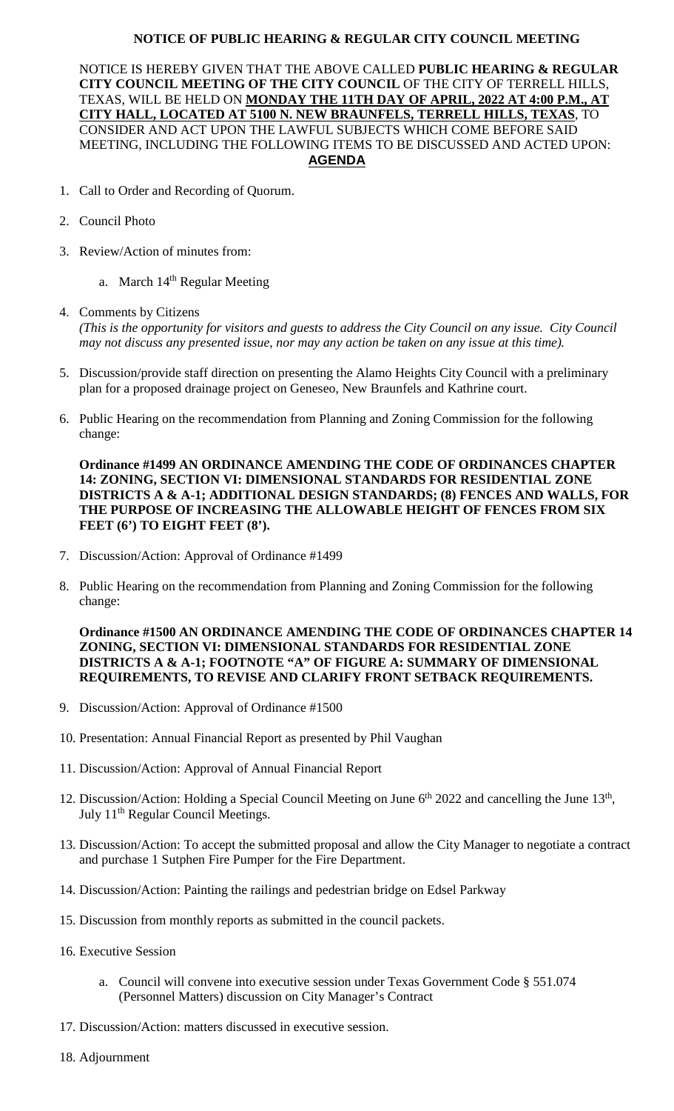## **NOTICE OF PUBLIC HEARING & REGULAR CITY COUNCIL MEETING**

NOTICE IS HEREBY GIVEN THAT THE ABOVE CALLED **PUBLIC HEARING & REGULAR CITY COUNCIL MEETING OF THE CITY COUNCIL** OF THE CITY OF TERRELL HILLS, TEXAS, WILL BE HELD ON **MONDAY THE 11TH DAY OF APRIL, 2022 AT 4:00 P.M., AT CITY HALL, LOCATED AT 5100 N. NEW BRAUNFELS, TERRELL HILLS, TEXAS**, TO CONSIDER AND ACT UPON THE LAWFUL SUBJECTS WHICH COME BEFORE SAID MEETING, INCLUDING THE FOLLOWING ITEMS TO BE DISCUSSED AND ACTED UPON: **AGENDA**

- 1. Call to Order and Recording of Quorum.
- 2. Council Photo
- 3. Review/Action of minutes from:
	- a. March  $14<sup>th</sup>$  Regular Meeting
- 4. Comments by Citizens *(This is the opportunity for visitors and guests to address the City Council on any issue. City Council may not discuss any presented issue, nor may any action be taken on any issue at this time).*
- 5. Discussion/provide staff direction on presenting the Alamo Heights City Council with a preliminary plan for a proposed drainage project on Geneseo, New Braunfels and Kathrine court.
- 6. Public Hearing on the recommendation from Planning and Zoning Commission for the following change:

**Ordinance #1499 AN ORDINANCE AMENDING THE CODE OF ORDINANCES CHAPTER 14: ZONING, SECTION VI: DIMENSIONAL STANDARDS FOR RESIDENTIAL ZONE DISTRICTS A & A-1; ADDITIONAL DESIGN STANDARDS; (8) FENCES AND WALLS, FOR THE PURPOSE OF INCREASING THE ALLOWABLE HEIGHT OF FENCES FROM SIX FEET (6') TO EIGHT FEET (8').**

- 7. Discussion/Action: Approval of Ordinance #1499
- 8. Public Hearing on the recommendation from Planning and Zoning Commission for the following change:

**Ordinance #1500 AN ORDINANCE AMENDING THE CODE OF ORDINANCES CHAPTER 14 ZONING, SECTION VI: DIMENSIONAL STANDARDS FOR RESIDENTIAL ZONE DISTRICTS A & A-1; FOOTNOTE "A" OF FIGURE A: SUMMARY OF DIMENSIONAL REQUIREMENTS, TO REVISE AND CLARIFY FRONT SETBACK REQUIREMENTS.**

- 9. Discussion/Action: Approval of Ordinance #1500
- 10. Presentation: Annual Financial Report as presented by Phil Vaughan
- 11. Discussion/Action: Approval of Annual Financial Report
- 12. Discussion/Action: Holding a Special Council Meeting on June  $6<sup>th</sup>$  2022 and cancelling the June  $13<sup>th</sup>$ , July 11<sup>th</sup> Regular Council Meetings.
- 13. Discussion/Action: To accept the submitted proposal and allow the City Manager to negotiate a contract and purchase 1 Sutphen Fire Pumper for the Fire Department.
- 14. Discussion/Action: Painting the railings and pedestrian bridge on Edsel Parkway
- 15. Discussion from monthly reports as submitted in the council packets.
- 16. Executive Session
	- a. Council will convene into executive session under Texas Government Code § 551.074 (Personnel Matters) discussion on City Manager's Contract
- 17. Discussion/Action: matters discussed in executive session.
- 18. Adjournment